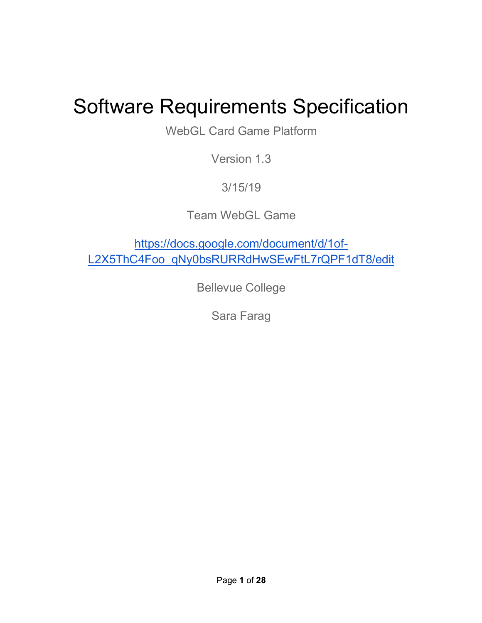# Software Requirements Specification

WebGL Card Game Platform

Version 1.3

3/15/19

Team WebGL Game

https://docs.google.com/document/d/1of-L2X5ThC4Foo\_qNy0bsRURRdHwSEwFtL7rQPF1dT8/edit

Bellevue College

Sara Farag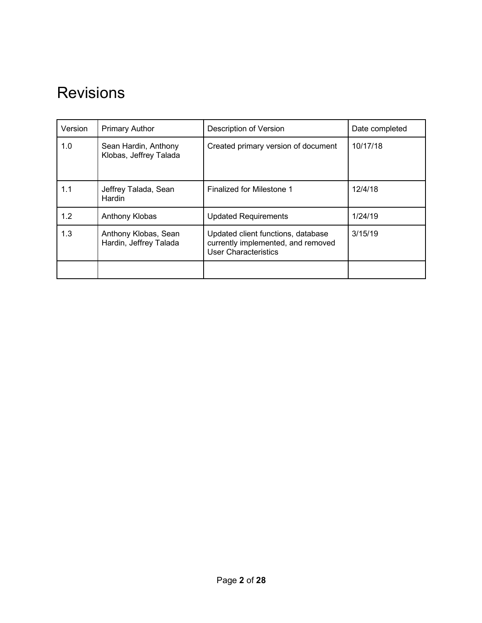## Revisions

| Version | <b>Primary Author</b>                          | Description of Version                                                                                  | Date completed |
|---------|------------------------------------------------|---------------------------------------------------------------------------------------------------------|----------------|
| 1.0     | Sean Hardin, Anthony<br>Klobas, Jeffrey Talada | Created primary version of document                                                                     | 10/17/18       |
| 1.1     | Jeffrey Talada, Sean<br>Hardin                 | Finalized for Milestone 1                                                                               | 12/4/18        |
| 1.2     | Anthony Klobas                                 | <b>Updated Requirements</b>                                                                             | 1/24/19        |
| 1.3     | Anthony Klobas, Sean<br>Hardin, Jeffrey Talada | Updated client functions, database<br>currently implemented, and removed<br><b>User Characteristics</b> | 3/15/19        |
|         |                                                |                                                                                                         |                |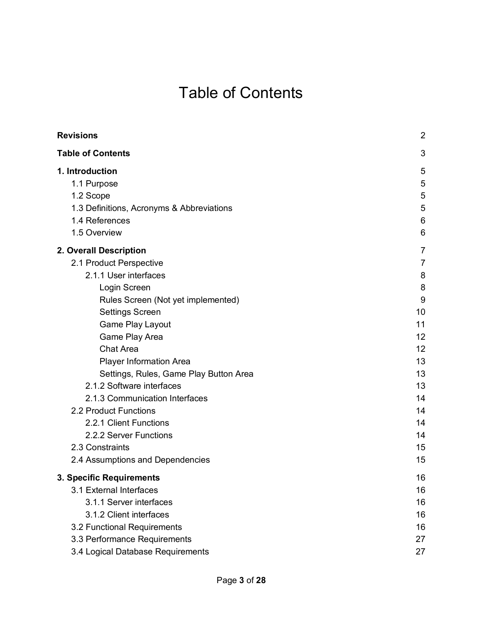## Table of Contents

| <b>Revisions</b>                          | $\overline{2}$ |
|-------------------------------------------|----------------|
| <b>Table of Contents</b>                  | 3              |
| 1. Introduction                           | 5              |
| 1.1 Purpose                               | 5              |
| 1.2 Scope                                 | 5              |
| 1.3 Definitions, Acronyms & Abbreviations | 5              |
| 1.4 References                            | 6              |
| 1.5 Overview                              | 6              |
| 2. Overall Description                    | 7              |
| 2.1 Product Perspective                   | 7              |
| 2.1.1 User interfaces                     | 8              |
| Login Screen                              | 8              |
| Rules Screen (Not yet implemented)        | 9              |
| <b>Settings Screen</b>                    | 10             |
| Game Play Layout                          | 11             |
| Game Play Area                            | 12             |
| <b>Chat Area</b>                          | 12             |
| <b>Player Information Area</b>            | 13             |
| Settings, Rules, Game Play Button Area    | 13             |
| 2.1.2 Software interfaces                 | 13             |
| 2.1.3 Communication Interfaces            | 14             |
| 2.2 Product Functions                     | 14             |
| 2.2.1 Client Functions                    | 14             |
| 2.2.2 Server Functions                    | 14             |
| 2.3 Constraints                           | 15             |
| 2.4 Assumptions and Dependencies          | 15             |
| 3. Specific Requirements                  | 16             |
| 3.1 External Interfaces                   | 16             |
| 3.1.1 Server interfaces                   | 16             |
| 3.1.2 Client interfaces                   | 16             |
| 3.2 Functional Requirements               | 16             |
| 3.3 Performance Requirements              | 27             |
| 3.4 Logical Database Requirements         | 27             |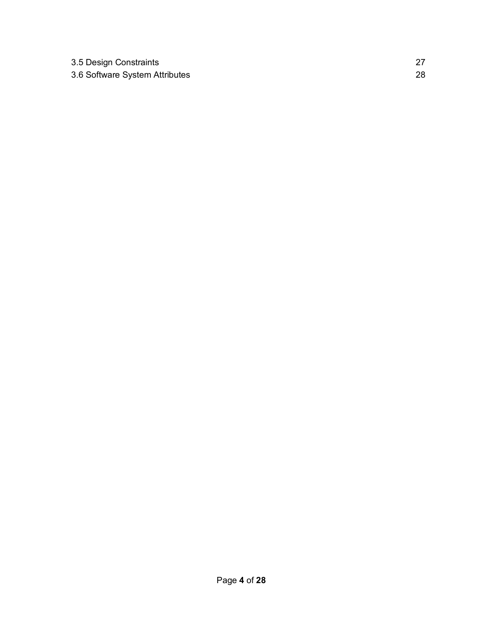| 3.5 Design Constraints         |  |
|--------------------------------|--|
| 3.6 Software System Attributes |  |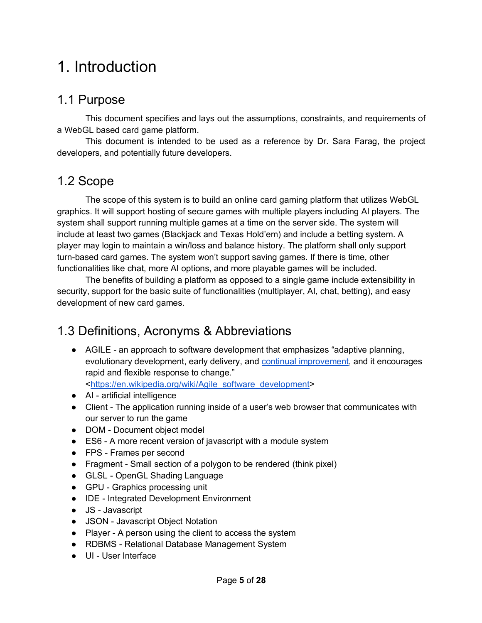## 1. Introduction

### 1.1 Purpose

This document specifies and lays out the assumptions, constraints, and requirements of a WebGL based card game platform.

This document is intended to be used as a reference by Dr. Sara Farag, the project developers, and potentially future developers.

### 1.2 Scope

The scope of this system is to build an online card gaming platform that utilizes WebGL graphics. It will support hosting of secure games with multiple players including AI players. The system shall support running multiple games at a time on the server side. The system will include at least two games (Blackjack and Texas Hold'em) and include a betting system. A player may login to maintain a win/loss and balance history. The platform shall only support turn-based card games. The system won't support saving games. If there is time, other functionalities like chat, more AI options, and more playable games will be included.

The benefits of building a platform as opposed to a single game include extensibility in security, support for the basic suite of functionalities (multiplayer, AI, chat, betting), and easy development of new card games.

### 1.3 Definitions, Acronyms & Abbreviations

- AGILE an approach to software development that emphasizes "adaptive planning, evolutionary development, early delivery, and continual improvement, and it encourages rapid and flexible response to change." <https://en.wikipedia.org/wiki/Agile\_software\_development>
- AI artificial intelligence
- Client The application running inside of a user's web browser that communicates with our server to run the game
- DOM Document object model
- ES6 A more recent version of javascript with a module system
- FPS Frames per second
- Fragment Small section of a polygon to be rendered (think pixel)
- GLSL OpenGL Shading Language
- GPU Graphics processing unit
- IDE Integrated Development Environment
- JS Javascript
- JSON Javascript Object Notation
- Player A person using the client to access the system
- RDBMS Relational Database Management System
- UI User Interface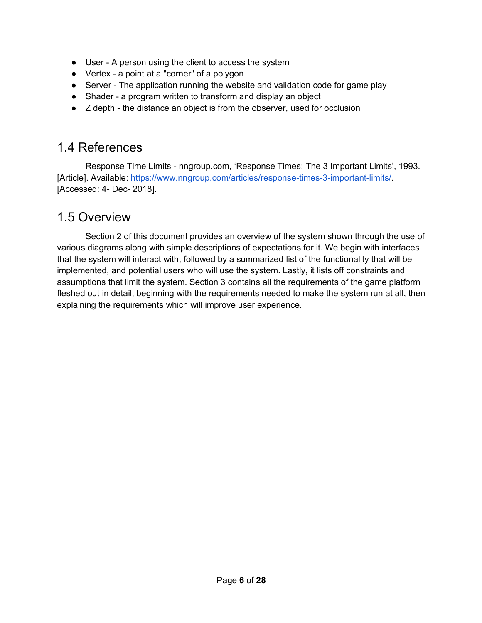- User A person using the client to access the system
- Vertex a point at a "corner" of a polygon
- Server The application running the website and validation code for game play
- Shader a program written to transform and display an object
- Z depth the distance an object is from the observer, used for occlusion

### 1.4 References

Response Time Limits - nngroup.com, 'Response Times: The 3 Important Limits', 1993. [Article]. Available: https://www.nngroup.com/articles/response-times-3-important-limits/. [Accessed: 4- Dec- 2018].

### 1.5 Overview

Section 2 of this document provides an overview of the system shown through the use of various diagrams along with simple descriptions of expectations for it. We begin with interfaces that the system will interact with, followed by a summarized list of the functionality that will be implemented, and potential users who will use the system. Lastly, it lists off constraints and assumptions that limit the system. Section 3 contains all the requirements of the game platform fleshed out in detail, beginning with the requirements needed to make the system run at all, then explaining the requirements which will improve user experience.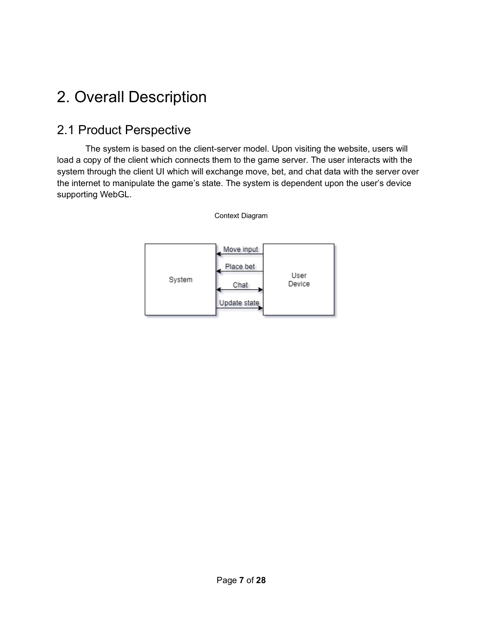## 2. Overall Description

### 2.1 Product Perspective

The system is based on the client-server model. Upon visiting the website, users will load a copy of the client which connects them to the game server. The user interacts with the system through the client UI which will exchange move, bet, and chat data with the server over the internet to manipulate the game's state. The system is dependent upon the user's device supporting WebGL.

Context Diagram

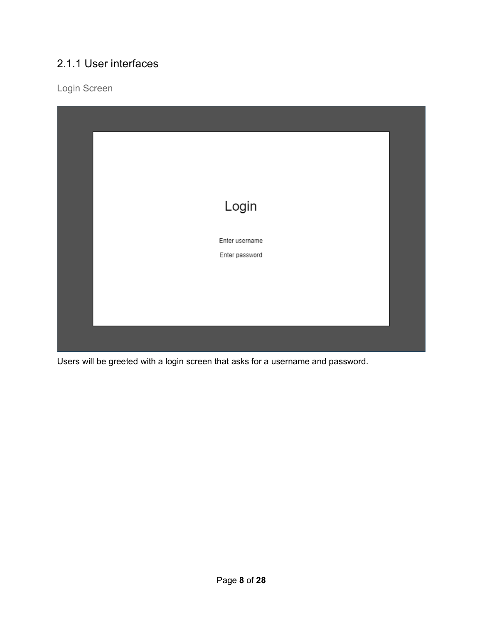### 2.1.1 User interfaces

Login Screen



Users will be greeted with a login screen that asks for a username and password.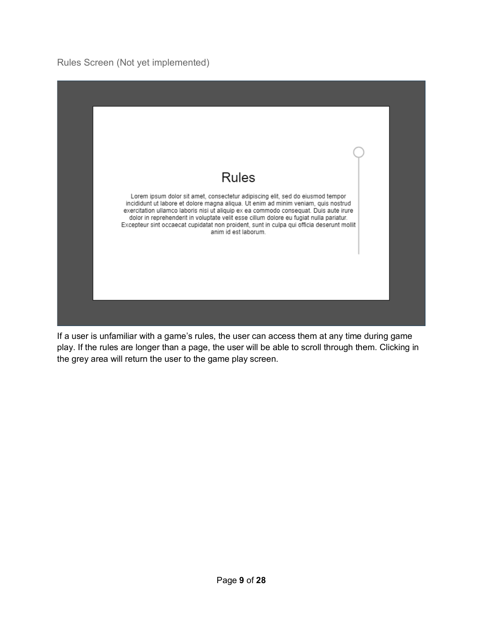#### Rules Screen (Not yet implemented)



If a user is unfamiliar with a game's rules, the user can access them at any time during game play. If the rules are longer than a page, the user will be able to scroll through them. Clicking in the grey area will return the user to the game play screen.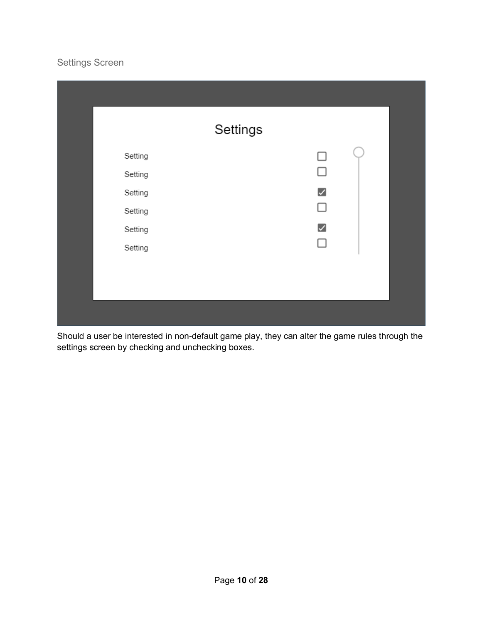#### Settings Screen

| Settings |                       |  |
|----------|-----------------------|--|
| Setting  | П                     |  |
| Setting  | $\mathbf{1}$          |  |
| Setting  | $\blacktriangleright$ |  |
| Setting  | П                     |  |
| Setting  | $\blacktriangleright$ |  |
| Setting  |                       |  |
|          |                       |  |
|          |                       |  |
|          |                       |  |

Should a user be interested in non-default game play, they can alter the game rules through the settings screen by checking and unchecking boxes.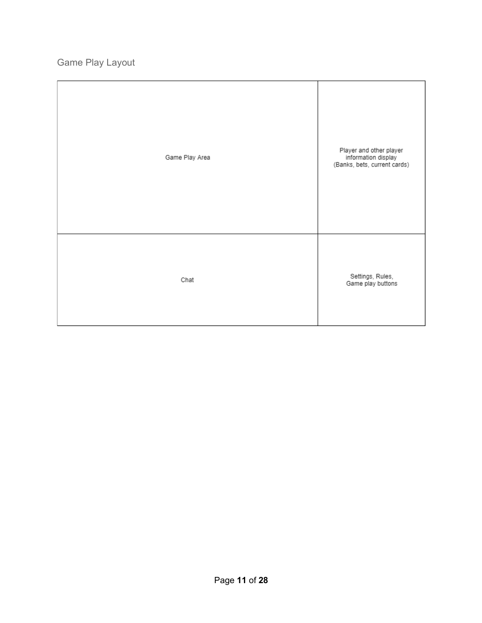Game Play Layout

| Game Play Area | Player and other player<br>information display<br>(Banks, bets, current cards) |
|----------------|--------------------------------------------------------------------------------|
| Chat           | Settings, Rules,<br>Game play buttons                                          |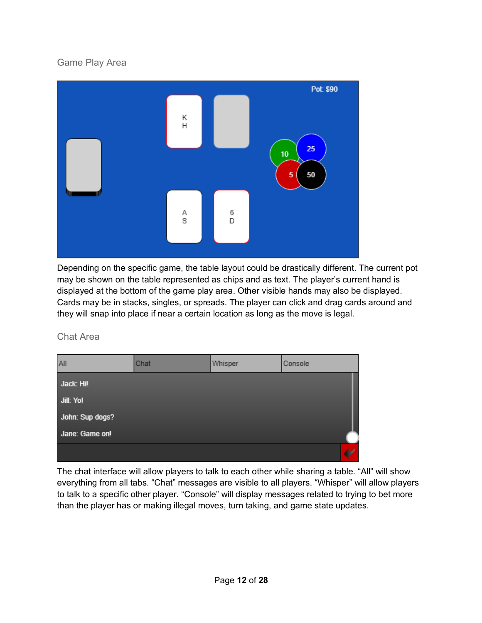#### Game Play Area



Depending on the specific game, the table layout could be drastically different. The current pot may be shown on the table represented as chips and as text. The player's current hand is displayed at the bottom of the game play area. Other visible hands may also be displayed. Cards may be in stacks, singles, or spreads. The player can click and drag cards around and they will snap into place if near a certain location as long as the move is legal.

Chat Area

| All             | Chat | Whisper | Console |
|-----------------|------|---------|---------|
| Jack: Hi!       |      |         |         |
| Jill: Yo!       |      |         |         |
| John: Sup dogs? |      |         |         |
| Jane: Game on!  |      |         |         |
|                 |      |         |         |

The chat interface will allow players to talk to each other while sharing a table. "All" will show everything from all tabs. "Chat" messages are visible to all players. "Whisper" will allow players to talk to a specific other player. "Console" will display messages related to trying to bet more than the player has or making illegal moves, turn taking, and game state updates.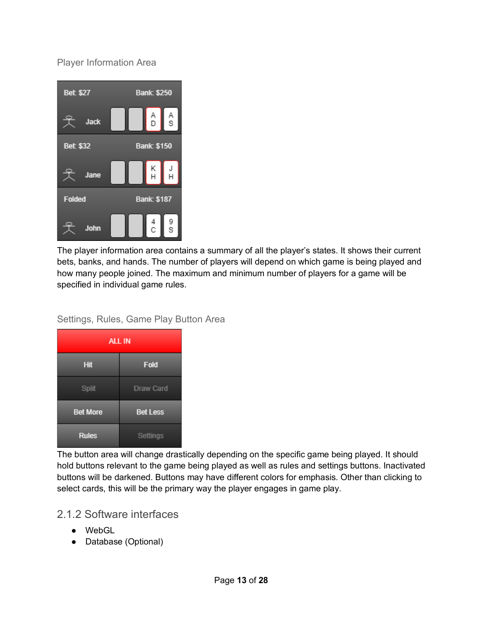Player Information Area



The player information area contains a summary of all the player's states. It shows their current bets, banks, and hands. The number of players will depend on which game is being played and how many people joined. The maximum and minimum number of players for a game will be specified in individual game rules.

#### Settings, Rules, Game Play Button Area

| <b>ALL IN</b>   |                 |  |
|-----------------|-----------------|--|
| Hit             | Fold            |  |
| Split           | Draw Card       |  |
| <b>Bet More</b> | <b>Bet Less</b> |  |
| <b>Rules</b>    | <b>Settings</b> |  |

The button area will change drastically depending on the specific game being played. It should hold buttons relevant to the game being played as well as rules and settings buttons. Inactivated buttons will be darkened. Buttons may have different colors for emphasis. Other than clicking to select cards, this will be the primary way the player engages in game play.

#### 2.1.2 Software interfaces

- WebGL
- Database (Optional)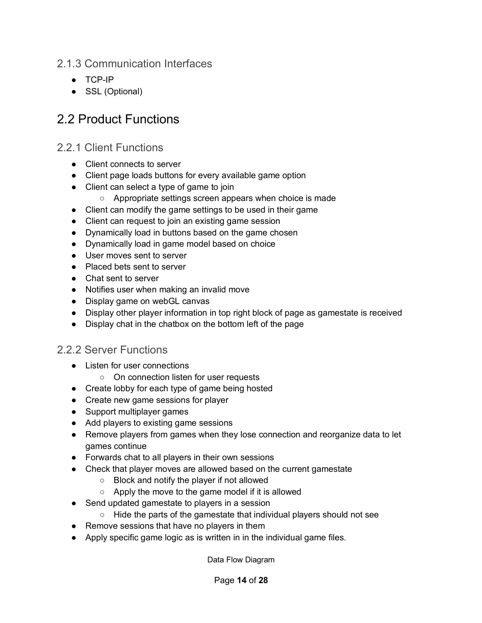#### 2.1.3 Communication Interfaces

- TCP-IP
- SSL (Optional)

### 2.2 Product Functions

#### 2.2.1 Client Functions

- Client connects to server
- Client page loads buttons for every available game option
- Client can select a type of game to join
	- Appropriate settings screen appears when choice is made
- Client can modify the game settings to be used in their game
- Client can request to join an existing game session
- Dynamically load in buttons based on the game chosen
- Dynamically load in game model based on choice
- User moves sent to server
- Placed bets sent to server
- Chat sent to server
- Notifies user when making an invalid move
- Display game on webGL canvas
- Display other player information in top right block of page as gamestate is received
- Display chat in the chatbox on the bottom left of the page

#### 2.2.2 Server Functions

- Listen for user connections
	- On connection listen for user requests
- Create lobby for each type of game being hosted
- Create new game sessions for player
- Support multiplayer games
- Add players to existing game sessions
- Remove players from games when they lose connection and reorganize data to let games continue
- Forwards chat to all players in their own sessions
- Check that player moves are allowed based on the current gamestate
	- Block and notify the player if not allowed
	- $\circ$  Apply the move to the game model if it is allowed
- Send updated gamestate to players in a session
	- Hide the parts of the gamestate that individual players should not see
- Remove sessions that have no players in them
- Apply specific game logic as is written in in the individual game files.

Data Flow Diagram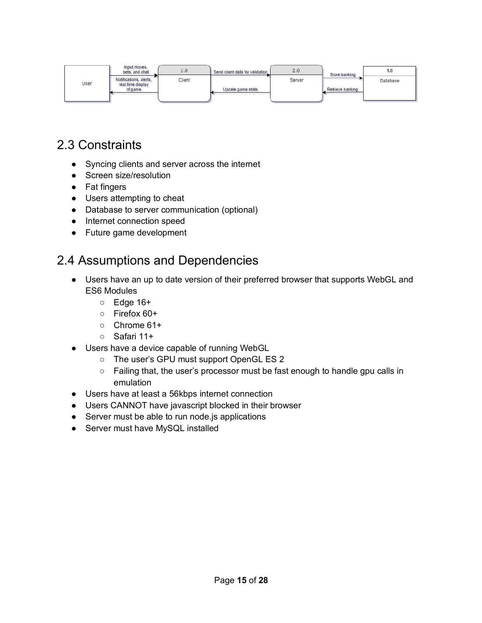|      | Input moves,<br>bets, and chat              | 1.0    | Send client data for validation | 2.0    | Store banking    | 1.0      |
|------|---------------------------------------------|--------|---------------------------------|--------|------------------|----------|
| User | Notifications, alerts,<br>real time display | Client |                                 | Server |                  | Database |
|      | of game                                     |        | Update game state               |        | Retrieve banking |          |
|      |                                             |        |                                 |        |                  |          |

### 2.3 Constraints

- Syncing clients and server across the internet
- **•** Screen size/resolution
- Fat fingers
- Users attempting to cheat
- Database to server communication (optional)
- Internet connection speed
- Future game development

### 2.4 Assumptions and Dependencies

- Users have an up to date version of their preferred browser that supports WebGL and ES6 Modules
	- Edge 16+
	- Firefox 60+
	- Chrome 61+
	- Safari 11+
- Users have a device capable of running WebGL
	- The user's GPU must support OpenGL ES 2
	- Failing that, the user's processor must be fast enough to handle gpu calls in emulation
- Users have at least a 56kbps internet connection
- Users CANNOT have javascript blocked in their browser
- Server must be able to run node.js applications
- Server must have MySQL installed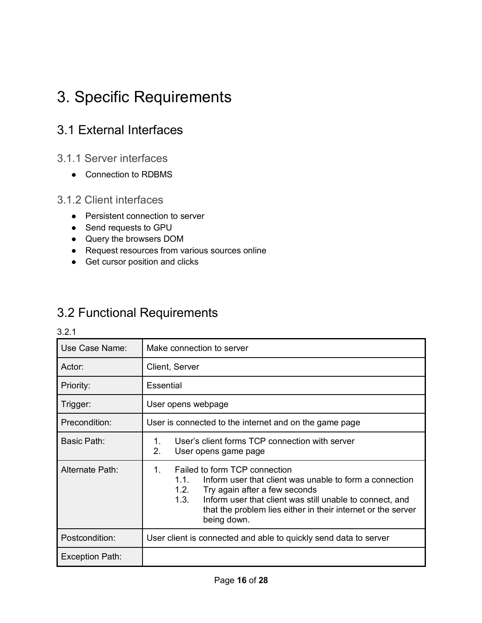## 3. Specific Requirements

### 3.1 External Interfaces

- 3.1.1 Server interfaces
	- Connection to RDBMS

#### 3.1.2 Client interfaces

- Persistent connection to server
- Send requests to GPU
- Query the browsers DOM
- Request resources from various sources online
- Get cursor position and clicks

### 3.2 Functional Requirements

| Use Case Name:  | Make connection to server                                                                                                                                                                                                                                                                             |  |
|-----------------|-------------------------------------------------------------------------------------------------------------------------------------------------------------------------------------------------------------------------------------------------------------------------------------------------------|--|
| Actor:          | Client, Server                                                                                                                                                                                                                                                                                        |  |
| Priority:       | Essential                                                                                                                                                                                                                                                                                             |  |
| Trigger:        | User opens webpage                                                                                                                                                                                                                                                                                    |  |
| Precondition:   | User is connected to the internet and on the game page                                                                                                                                                                                                                                                |  |
| Basic Path:     | User's client forms TCP connection with server<br>1.<br>2.<br>User opens game page                                                                                                                                                                                                                    |  |
| Alternate Path: | Failed to form TCP connection<br>$1_{-}$<br>Inform user that client was unable to form a connection<br>11<br>1.2.<br>Try again after a few seconds<br>1.3.<br>Inform user that client was still unable to connect, and<br>that the problem lies either in their internet or the server<br>being down. |  |
| Postcondition:  | User client is connected and able to quickly send data to server                                                                                                                                                                                                                                      |  |
| Exception Path: |                                                                                                                                                                                                                                                                                                       |  |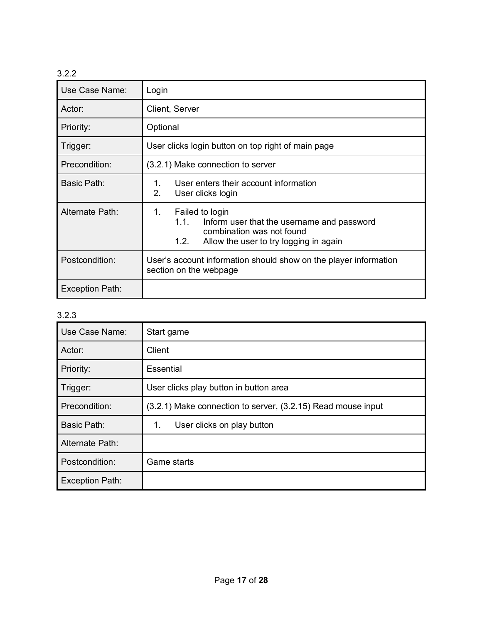| Use Case Name:         | Login                                                                                                                                                      |  |
|------------------------|------------------------------------------------------------------------------------------------------------------------------------------------------------|--|
| Actor:                 | Client, Server                                                                                                                                             |  |
| Priority:              | Optional                                                                                                                                                   |  |
| Trigger:               | User clicks login button on top right of main page                                                                                                         |  |
| Precondition:          | (3.2.1) Make connection to server                                                                                                                          |  |
| Basic Path:            | User enters their account information<br>1.<br>2.<br>User clicks login                                                                                     |  |
| Alternate Path:        | Failed to login<br>1.<br>1.1.<br>Inform user that the username and password<br>combination was not found<br>1.2.<br>Allow the user to try logging in again |  |
| Postcondition:         | User's account information should show on the player information<br>section on the webpage                                                                 |  |
| <b>Exception Path:</b> |                                                                                                                                                            |  |

| Use Case Name:         | Start game                                                   |
|------------------------|--------------------------------------------------------------|
| Actor:                 | Client                                                       |
| Priority:              | Essential                                                    |
| Trigger:               | User clicks play button in button area                       |
| Precondition:          | (3.2.1) Make connection to server, (3.2.15) Read mouse input |
| Basic Path:            | 1.<br>User clicks on play button                             |
| Alternate Path:        |                                                              |
| Postcondition:         | Game starts                                                  |
| <b>Exception Path:</b> |                                                              |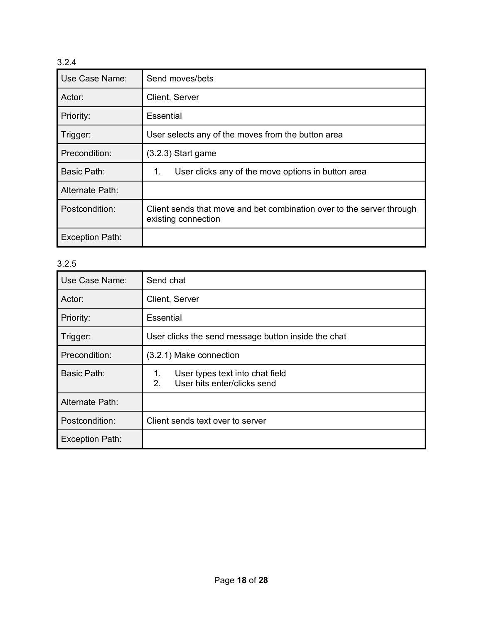| Use Case Name:         | Send moves/bets                                                                              |
|------------------------|----------------------------------------------------------------------------------------------|
| Actor:                 | Client, Server                                                                               |
| Priority:              | Essential                                                                                    |
| Trigger:               | User selects any of the moves from the button area                                           |
| Precondition:          | $(3.2.3)$ Start game                                                                         |
| Basic Path:            | User clicks any of the move options in button area<br>1.                                     |
| Alternate Path:        |                                                                                              |
| Postcondition:         | Client sends that move and bet combination over to the server through<br>existing connection |
| <b>Exception Path:</b> |                                                                                              |

| Use Case Name:         | Send chat                                                                  |
|------------------------|----------------------------------------------------------------------------|
| Actor:                 | Client, Server                                                             |
| Priority:              | Essential                                                                  |
| Trigger:               | User clicks the send message button inside the chat                        |
| Precondition:          | (3.2.1) Make connection                                                    |
| <b>Basic Path:</b>     | User types text into chat field<br>1.<br>User hits enter/clicks send<br>2. |
| Alternate Path:        |                                                                            |
| Postcondition:         | Client sends text over to server                                           |
| <b>Exception Path:</b> |                                                                            |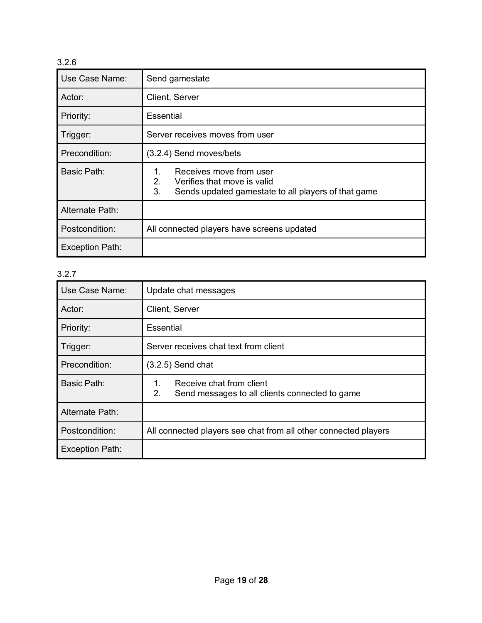| Use Case Name:         | Send gamestate                                                                                                                  |
|------------------------|---------------------------------------------------------------------------------------------------------------------------------|
| Actor:                 | Client, Server                                                                                                                  |
| Priority:              | Essential                                                                                                                       |
| Trigger:               | Server receives moves from user                                                                                                 |
| Precondition:          | (3.2.4) Send moves/bets                                                                                                         |
| Basic Path:            | Receives move from user<br>1.<br>2.<br>Verifies that move is valid<br>3.<br>Sends updated gamestate to all players of that game |
| Alternate Path:        |                                                                                                                                 |
| Postcondition:         | All connected players have screens updated                                                                                      |
| <b>Exception Path:</b> |                                                                                                                                 |

| Use Case Name:         | Update chat messages                                                                   |
|------------------------|----------------------------------------------------------------------------------------|
| Actor:                 | Client, Server                                                                         |
| Priority:              | Essential                                                                              |
| Trigger:               | Server receives chat text from client                                                  |
| Precondition:          | $(3.2.5)$ Send chat                                                                    |
| Basic Path:            | Receive chat from client<br>1.<br>2.<br>Send messages to all clients connected to game |
| Alternate Path:        |                                                                                        |
| Postcondition:         | All connected players see chat from all other connected players                        |
| <b>Exception Path:</b> |                                                                                        |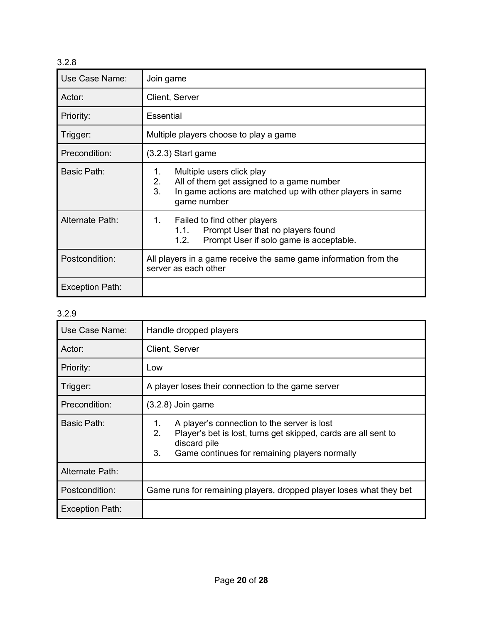| Use Case Name:         | Join game                                                                                                                                                            |
|------------------------|----------------------------------------------------------------------------------------------------------------------------------------------------------------------|
| Actor:                 | Client, Server                                                                                                                                                       |
| Priority:              | Essential                                                                                                                                                            |
| Trigger:               | Multiple players choose to play a game                                                                                                                               |
| Precondition:          | $(3.2.3)$ Start game                                                                                                                                                 |
| Basic Path:            | Multiple users click play<br>1.<br>2.<br>All of them get assigned to a game number<br>3.<br>In game actions are matched up with other players in same<br>game number |
| Alternate Path:        | 1.<br>Failed to find other players<br>Prompt User that no players found<br>1.1.<br>Prompt User if solo game is acceptable.<br>1.2.                                   |
| Postcondition:         | All players in a game receive the same game information from the<br>server as each other                                                                             |
| <b>Exception Path:</b> |                                                                                                                                                                      |

| Use Case Name:  | Handle dropped players                                                                                                                                                                           |
|-----------------|--------------------------------------------------------------------------------------------------------------------------------------------------------------------------------------------------|
| Actor:          | Client, Server                                                                                                                                                                                   |
| Priority:       | Low                                                                                                                                                                                              |
| Trigger:        | A player loses their connection to the game server                                                                                                                                               |
| Precondition:   | $(3.2.8)$ Join game                                                                                                                                                                              |
| Basic Path:     | A player's connection to the server is lost<br>1.<br>2.<br>Player's bet is lost, turns get skipped, cards are all sent to<br>discard pile<br>3.<br>Game continues for remaining players normally |
| Alternate Path: |                                                                                                                                                                                                  |
| Postcondition:  | Game runs for remaining players, dropped player loses what they bet                                                                                                                              |
| Exception Path: |                                                                                                                                                                                                  |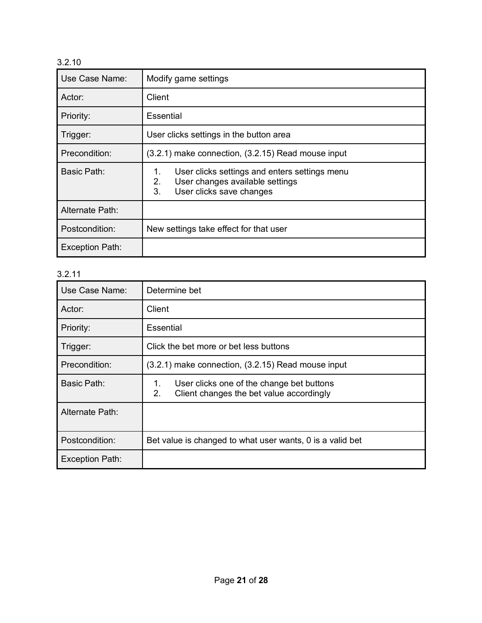| Use Case Name:         | Modify game settings                                                                                                           |
|------------------------|--------------------------------------------------------------------------------------------------------------------------------|
| Actor:                 | Client                                                                                                                         |
| Priority:              | <b>Essential</b>                                                                                                               |
| Trigger:               | User clicks settings in the button area                                                                                        |
| Precondition:          | (3.2.1) make connection, (3.2.15) Read mouse input                                                                             |
| Basic Path:            | User clicks settings and enters settings menu<br>1.<br>2.<br>User changes available settings<br>3.<br>User clicks save changes |
| Alternate Path:        |                                                                                                                                |
| Postcondition:         | New settings take effect for that user                                                                                         |
| <b>Exception Path:</b> |                                                                                                                                |

| Use Case Name:  | Determine bet                                                                                     |
|-----------------|---------------------------------------------------------------------------------------------------|
| Actor:          | Client                                                                                            |
| Priority:       | <b>Essential</b>                                                                                  |
| Trigger:        | Click the bet more or bet less buttons                                                            |
| Precondition:   | $(3.2.1)$ make connection, $(3.2.15)$ Read mouse input                                            |
| Basic Path:     | User clicks one of the change bet buttons<br>1.<br>2.<br>Client changes the bet value accordingly |
| Alternate Path: |                                                                                                   |
| Postcondition:  | Bet value is changed to what user wants, 0 is a valid bet                                         |
| Exception Path: |                                                                                                   |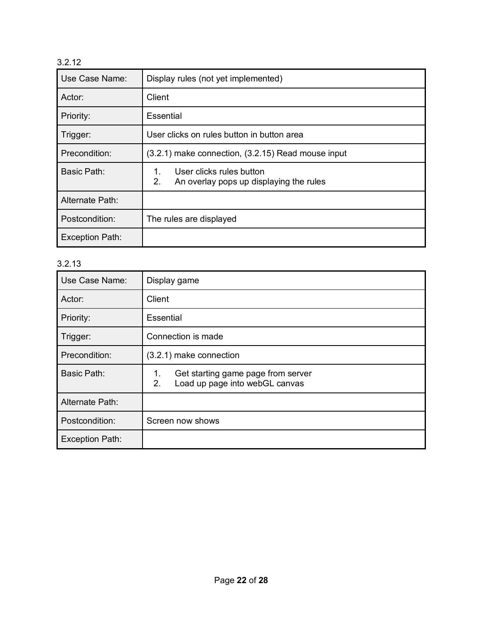| Use Case Name:  | Display rules (not yet implemented)                                             |
|-----------------|---------------------------------------------------------------------------------|
| Actor:          | Client                                                                          |
| Priority:       | Essential                                                                       |
| Trigger:        | User clicks on rules button in button area                                      |
| Precondition:   | (3.2.1) make connection, (3.2.15) Read mouse input                              |
| Basic Path:     | User clicks rules button<br>1.<br>2.<br>An overlay pops up displaying the rules |
| Alternate Path: |                                                                                 |
| Postcondition:  | The rules are displayed                                                         |
| Exception Path: |                                                                                 |

| Use Case Name:         | Display game                                                                     |
|------------------------|----------------------------------------------------------------------------------|
| Actor:                 | Client                                                                           |
| Priority:              | Essential                                                                        |
| Trigger:               | Connection is made                                                               |
| Precondition:          | (3.2.1) make connection                                                          |
| Basic Path:            | Get starting game page from server<br>1.<br>Load up page into webGL canvas<br>2. |
| Alternate Path:        |                                                                                  |
| Postcondition:         | Screen now shows                                                                 |
| <b>Exception Path:</b> |                                                                                  |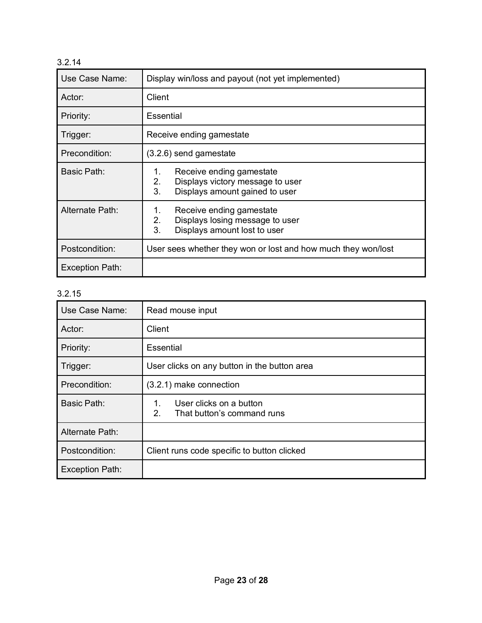| Use Case Name:  | Display win/loss and payout (not yet implemented)                                                                |
|-----------------|------------------------------------------------------------------------------------------------------------------|
| Actor:          | Client                                                                                                           |
| Priority:       | <b>Essential</b>                                                                                                 |
| Trigger:        | Receive ending gamestate                                                                                         |
| Precondition:   | $(3.2.6)$ send gamestate                                                                                         |
| Basic Path:     | Receive ending gamestate<br>1.<br>2.<br>Displays victory message to user<br>3.<br>Displays amount gained to user |
| Alternate Path: | Receive ending gamestate<br>1.<br>Displays losing message to user<br>2.<br>3.<br>Displays amount lost to user    |
| Postcondition:  | User sees whether they won or lost and how much they won/lost                                                    |
| Exception Path: |                                                                                                                  |

| Use Case Name:         | Read mouse input                                                  |
|------------------------|-------------------------------------------------------------------|
| Actor:                 | Client                                                            |
| Priority:              | Essential                                                         |
| Trigger:               | User clicks on any button in the button area                      |
| Precondition:          | (3.2.1) make connection                                           |
| <b>Basic Path:</b>     | User clicks on a button<br>1.<br>2.<br>That button's command runs |
| Alternate Path:        |                                                                   |
| Postcondition:         | Client runs code specific to button clicked                       |
| <b>Exception Path:</b> |                                                                   |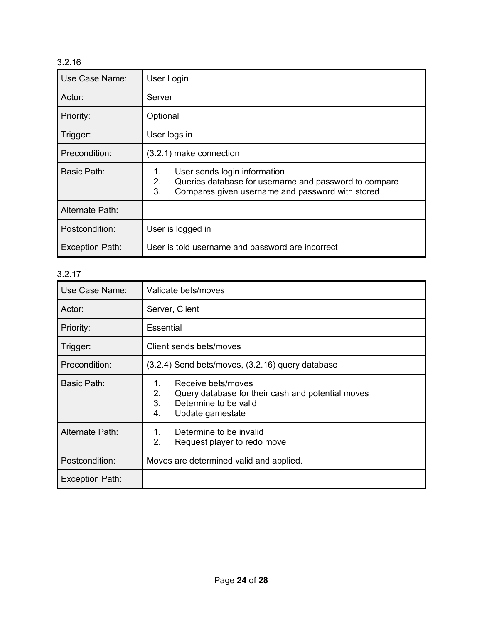| Use Case Name:         | User Login                                                                                                                                                  |
|------------------------|-------------------------------------------------------------------------------------------------------------------------------------------------------------|
| Actor:                 | Server                                                                                                                                                      |
| Priority:              | Optional                                                                                                                                                    |
| Trigger:               | User logs in                                                                                                                                                |
| Precondition:          | (3.2.1) make connection                                                                                                                                     |
| Basic Path:            | User sends login information<br>1.<br>2.<br>Queries database for username and password to compare<br>3.<br>Compares given username and password with stored |
| Alternate Path:        |                                                                                                                                                             |
| Postcondition:         | User is logged in                                                                                                                                           |
| <b>Exception Path:</b> | User is told username and password are incorrect                                                                                                            |

| Use Case Name:         | Validate bets/moves                                                                                                                          |
|------------------------|----------------------------------------------------------------------------------------------------------------------------------------------|
| Actor:                 | Server, Client                                                                                                                               |
| Priority:              | Essential                                                                                                                                    |
| Trigger:               | Client sends bets/moves                                                                                                                      |
| Precondition:          | (3.2.4) Send bets/moves, (3.2.16) query database                                                                                             |
| Basic Path:            | Receive bets/moves<br>1.<br>2.<br>Query database for their cash and potential moves<br>3.<br>Determine to be valid<br>4.<br>Update gamestate |
| Alternate Path:        | Determine to be invalid<br>1.<br>2.<br>Request player to redo move                                                                           |
| Postcondition:         | Moves are determined valid and applied.                                                                                                      |
| <b>Exception Path:</b> |                                                                                                                                              |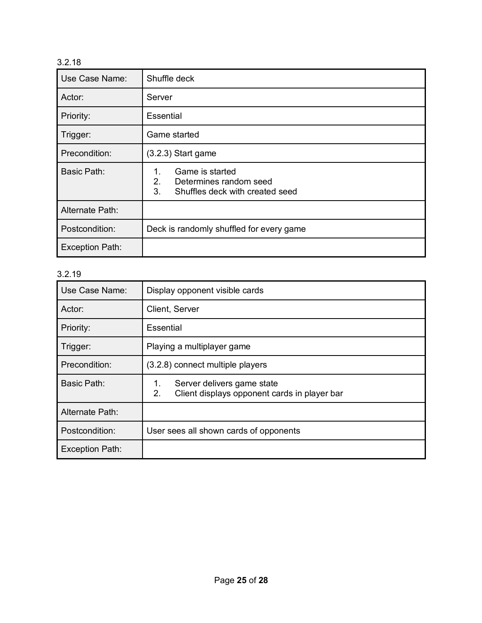| Use Case Name:         | Shuffle deck                                                                                   |
|------------------------|------------------------------------------------------------------------------------------------|
| Actor:                 | Server                                                                                         |
| Priority:              | Essential                                                                                      |
| Trigger:               | Game started                                                                                   |
| Precondition:          | $(3.2.3)$ Start game                                                                           |
| Basic Path:            | Game is started<br>1.<br>2.<br>Determines random seed<br>3.<br>Shuffles deck with created seed |
| Alternate Path:        |                                                                                                |
| Postcondition:         | Deck is randomly shuffled for every game                                                       |
| <b>Exception Path:</b> |                                                                                                |

| Use Case Name:         | Display opponent visible cards                                                         |
|------------------------|----------------------------------------------------------------------------------------|
| Actor:                 | Client, Server                                                                         |
| Priority:              | Essential                                                                              |
| Trigger:               | Playing a multiplayer game                                                             |
| Precondition:          | (3.2.8) connect multiple players                                                       |
| Basic Path:            | Server delivers game state<br>1.<br>Client displays opponent cards in player bar<br>2. |
| Alternate Path:        |                                                                                        |
| Postcondition:         | User sees all shown cards of opponents                                                 |
| <b>Exception Path:</b> |                                                                                        |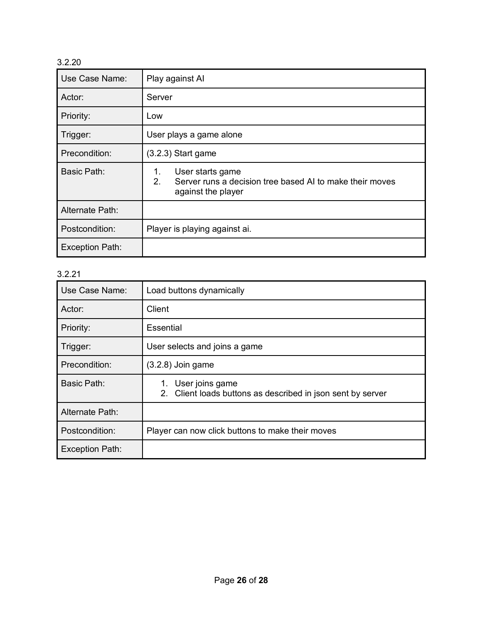| Use Case Name:         | Play against Al                                                                                                |
|------------------------|----------------------------------------------------------------------------------------------------------------|
| Actor:                 | Server                                                                                                         |
| Priority:              | Low                                                                                                            |
| Trigger:               | User plays a game alone                                                                                        |
| Precondition:          | $(3.2.3)$ Start game                                                                                           |
| Basic Path:            | User starts game<br>1.<br>2.<br>Server runs a decision tree based AI to make their moves<br>against the player |
| Alternate Path:        |                                                                                                                |
| Postcondition:         | Player is playing against ai.                                                                                  |
| <b>Exception Path:</b> |                                                                                                                |

| Use Case Name:         | Load buttons dynamically                                                             |
|------------------------|--------------------------------------------------------------------------------------|
| Actor:                 | Client                                                                               |
| Priority:              | Essential                                                                            |
| Trigger:               | User selects and joins a game                                                        |
| Precondition:          | $(3.2.8)$ Join game                                                                  |
| Basic Path:            | User joins game<br>1.<br>2. Client loads buttons as described in json sent by server |
| Alternate Path:        |                                                                                      |
| Postcondition:         | Player can now click buttons to make their moves                                     |
| <b>Exception Path:</b> |                                                                                      |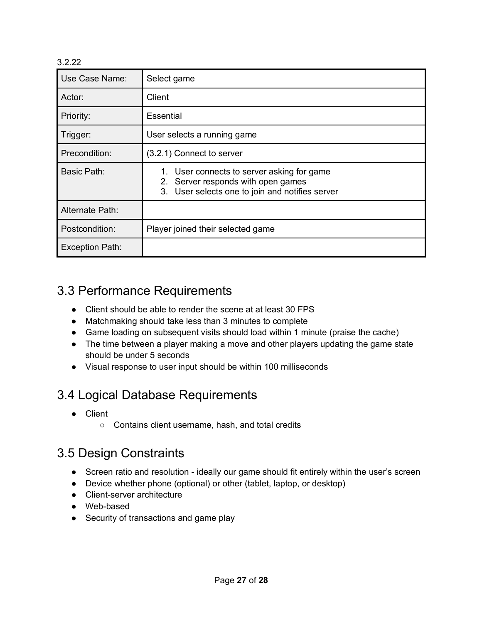| Use Case Name:         | Select game                                                                                                                         |
|------------------------|-------------------------------------------------------------------------------------------------------------------------------------|
| Actor:                 | Client                                                                                                                              |
| Priority:              | Essential                                                                                                                           |
| Trigger:               | User selects a running game                                                                                                         |
| Precondition:          | (3.2.1) Connect to server                                                                                                           |
| Basic Path:            | 1. User connects to server asking for game<br>2. Server responds with open games<br>3. User selects one to join and notifies server |
| Alternate Path:        |                                                                                                                                     |
| Postcondition:         | Player joined their selected game                                                                                                   |
| <b>Exception Path:</b> |                                                                                                                                     |

### 3.3 Performance Requirements

- Client should be able to render the scene at at least 30 FPS
- Matchmaking should take less than 3 minutes to complete
- Game loading on subsequent visits should load within 1 minute (praise the cache)
- The time between a player making a move and other players updating the game state should be under 5 seconds
- Visual response to user input should be within 100 milliseconds

### 3.4 Logical Database Requirements

- Client
	- Contains client username, hash, and total credits

### 3.5 Design Constraints

- Screen ratio and resolution ideally our game should fit entirely within the user's screen
- Device whether phone (optional) or other (tablet, laptop, or desktop)
- Client-server architecture
- Web-based
- Security of transactions and game play